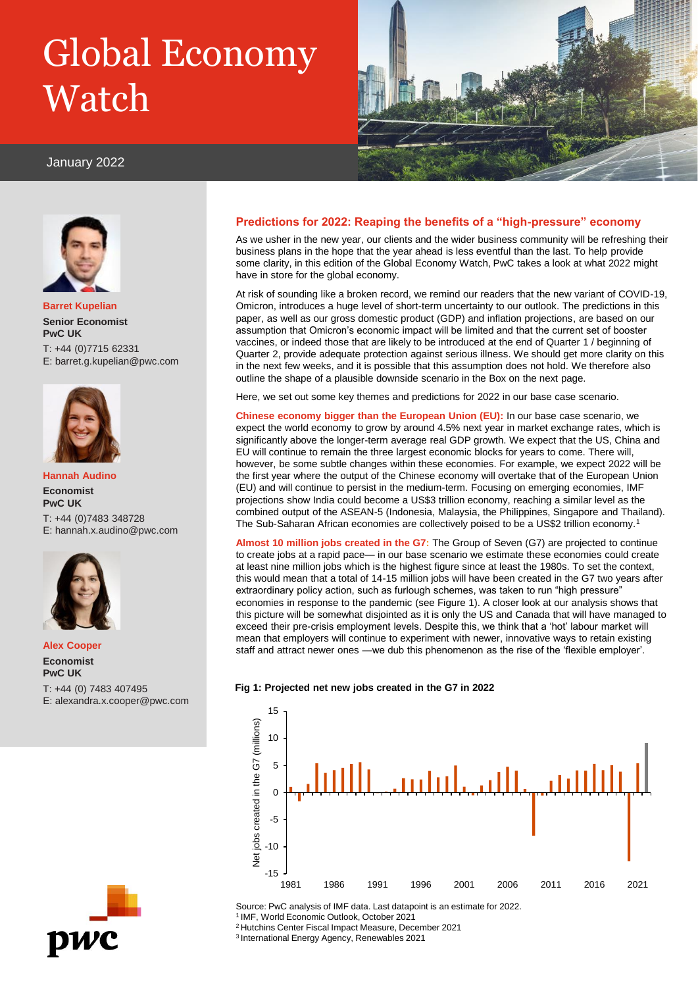# Global Economy Watch



# January 2022



**Barret Kupelian Senior Economist PwC UK** T: +44 (0)7715 62331 E: barret.g.kupelian@pwc.com



**Hannah Audino Economist PwC UK** T: +44 (0)7483 348728 E: hannah.x.audino@pwc.com



**Alex Cooper Economist PwC UK**

T: +44 (0) 7483 407495 E: alexandra.x.cooper@pwc.com

# pwc

# **Predictions for 2022: Reaping the benefits of a "high-pressure" economy**

As we usher in the new year, our clients and the wider business community will be refreshing their business plans in the hope that the year ahead is less eventful than the last. To help provide some clarity, in this edition of the Global Economy Watch, PwC takes a look at what 2022 might have in store for the global economy.

At risk of sounding like a broken record, we remind our readers that the new variant of COVID-19, Omicron, introduces a huge level of short-term uncertainty to our outlook. The predictions in this paper, as well as our gross domestic product (GDP) and inflation projections, are based on our assumption that Omicron's economic impact will be limited and that the current set of booster vaccines, or indeed those that are likely to be introduced at the end of Quarter 1 / beginning of Quarter 2, provide adequate protection against serious illness. We should get more clarity on this in the next few weeks, and it is possible that this assumption does not hold. We therefore also outline the shape of a plausible downside scenario in the Box on the next page.

Here, we set out some key themes and predictions for 2022 in our base case scenario.

**Chinese economy bigger than the European Union (EU):** In our base case scenario, we expect the world economy to grow by around 4.5% next year in market exchange rates, which is significantly above the longer-term average real GDP growth. We expect that the US, China and EU will continue to remain the three largest economic blocks for years to come. There will, however, be some subtle changes within these economies. For example, we expect 2022 will be the first year where the output of the Chinese economy will overtake that of the European Union (EU) and will continue to persist in the medium-term. Focusing on emerging economies, IMF projections show India could become a US\$3 trillion economy, reaching a similar level as the combined output of the ASEAN-5 (Indonesia, Malaysia, the Philippines, Singapore and Thailand). The Sub-Saharan African economies are collectively poised to be a US\$2 trillion economy.<sup>1</sup>

**Almost 10 million jobs created in the G7:** The Group of Seven (G7) are projected to continue to create jobs at a rapid pace— in our base scenario we estimate these economies could create at least nine million jobs which is the highest figure since at least the 1980s. To set the context, this would mean that a total of 14-15 million jobs will have been created in the G7 two years after extraordinary policy action, such as furlough schemes, was taken to run "high pressure" economies in response to the pandemic (see Figure 1). A closer look at our analysis shows that this picture will be somewhat disjointed as it is only the US and Canada that will have managed to exceed their pre-crisis employment levels. Despite this, we think that a 'hot' labour market will mean that employers will continue to experiment with newer, innovative ways to retain existing staff and attract newer ones —we dub this phenomenon as the rise of the 'flexible employer'.





Source: PwC analysis of IMF data. Last datapoint is an estimate for 2022.

<sup>1</sup>IMF, World Economic Outlook, October 2021

<sup>2</sup>Hutchins Center Fiscal Impact Measure, December 2021

<sup>3</sup>International Energy Agency, Renewables 2021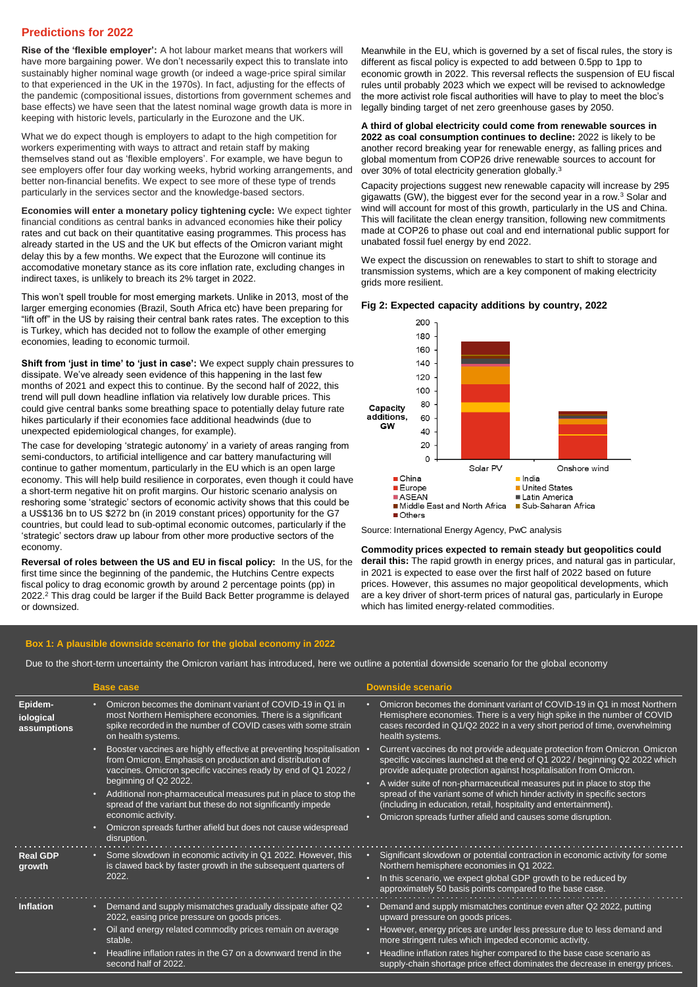# **Predictions for 2022**

**Rise of the 'flexible employer':** A hot labour market means that workers will have more bargaining power. We don't necessarily expect this to translate into sustainably higher nominal wage growth (or indeed a wage-price spiral similar to that experienced in the UK in the 1970s). In fact, adjusting for the effects of the pandemic (compositional issues, distortions from government schemes and base effects) we have seen that the latest nominal wage growth data is more in keeping with historic levels, particularly in the Eurozone and the UK.

What we do expect though is employers to adapt to the high competition for workers experimenting with ways to attract and retain staff by making themselves stand out as 'flexible employers'. For example, we have begun to see employers offer four day working weeks, hybrid working arrangements, and better non-financial benefits. We expect to see more of these type of trends particularly in the services sector and the knowledge-based sectors.

**Economies will enter a monetary policy tightening cycle:** We expect tighter financial conditions as central banks in advanced economies hike their policy rates and cut back on their quantitative easing programmes. This process has already started in the US and the UK but effects of the Omicron variant might delay this by a few months. We expect that the Eurozone will continue its accomodative monetary stance as its core inflation rate, excluding changes in indirect taxes, is unlikely to breach its 2% target in 2022.

This won't spell trouble for most emerging markets. Unlike in 2013, most of the larger emerging economies (Brazil, South Africa etc) have been preparing for "lift off" in the US by raising their central bank rates rates. The exception to this is Turkey, which has decided not to follow the example of other emerging economies, leading to economic turmoil.

**Shift from 'just in time' to 'just in case':** We expect supply chain pressures to dissipate. We've already seen evidence of this happening in the last few months of 2021 and expect this to continue. By the second half of 2022, this trend will pull down headline inflation via relatively low durable prices. This could give central banks some breathing space to potentially delay future rate hikes particularly if their economies face additional headwinds (due to unexpected epidemiological changes, for example).

The case for developing 'strategic autonomy' in a variety of areas ranging from semi-conductors, to artificial intelligence and car battery manufacturing will continue to gather momentum, particularly in the EU which is an open large economy. This will help build resilience in corporates, even though it could have a short-term negative hit on profit margins. Our historic scenario analysis on reshoring some 'strategic' sectors of economic activity shows that this could be a US\$136 bn to US \$272 bn (in 2019 constant prices) opportunity for the G7 countries, but could lead to sub-optimal economic outcomes, particularly if the 'strategic' sectors draw up labour from other more productive sectors of the economy.

**Reversal of roles between the US and EU in fiscal policy:** In the US, for the first time since the beginning of the pandemic, the Hutchins Centre expects fiscal policy to drag economic growth by around 2 percentage points (pp) in 2022.<sup>2</sup> This drag could be larger if the Build Back Better programme is delayed or downsized.

Meanwhile in the EU, which is governed by a set of fiscal rules, the story is different as fiscal policy is expected to add between 0.5pp to 1pp to economic growth in 2022. This reversal reflects the suspension of EU fiscal rules until probably 2023 which we expect will be revised to acknowledge the more activist role fiscal authorities will have to play to meet the bloc's legally binding target of net zero greenhouse gases by 2050.

**A third of global electricity could come from renewable sources in 2022 as coal consumption continues to decline:** 2022 is likely to be another record breaking year for renewable energy, as falling prices and global momentum from COP26 drive renewable sources to account for over 30% of total electricity generation globally.<sup>3</sup>

Capacity projections suggest new renewable capacity will increase by 295 gigawatts (GW), the biggest ever for the second year in a row.<sup>3</sup> Solar and wind will account for most of this growth, particularly in the US and China. This will facilitate the clean energy transition, following new commitments made at COP26 to phase out coal and end international public support for unabated fossil fuel energy by end 2022.

We expect the discussion on renewables to start to shift to storage and transmission systems, which are a key component of making electricity grids more resilient.

#### **Fig 2: Expected capacity additions by country, 2022**



Source: International Energy Agency, PwC analysis

**Commodity prices expected to remain steady but geopolitics could derail this:** The rapid growth in energy prices, and natural gas in particular, in 2021 is expected to ease over the first half of 2022 based on future prices. However, this assumes no major geopolitical developments, which are a key driver of short-term prices of natural gas, particularly in Europe which has limited energy-related commodities.

# **Box 1: A plausible downside scenario for the global economy in 2022**

Due to the short-term uncertainty the Omicron variant has introduced, here we outline a potential downside scenario for the global economy

|                                     | <b>Base case</b>                                                                                                                                                                                                                                                                                                                                                                                                                                                                | <b>Downside scenario</b>                                                                                                                                                                                                                                                                                                                                                                                                                                                                                           |
|-------------------------------------|---------------------------------------------------------------------------------------------------------------------------------------------------------------------------------------------------------------------------------------------------------------------------------------------------------------------------------------------------------------------------------------------------------------------------------------------------------------------------------|--------------------------------------------------------------------------------------------------------------------------------------------------------------------------------------------------------------------------------------------------------------------------------------------------------------------------------------------------------------------------------------------------------------------------------------------------------------------------------------------------------------------|
| Epidem-<br>iological<br>assumptions | Omicron becomes the dominant variant of COVID-19 in Q1 in<br>most Northern Hemisphere economies. There is a significant<br>spike recorded in the number of COVID cases with some strain<br>on health systems.                                                                                                                                                                                                                                                                   | Omicron becomes the dominant variant of COVID-19 in Q1 in most Northern<br>Hemisphere economies. There is a very high spike in the number of COVID<br>cases recorded in Q1/Q2 2022 in a very short period of time, overwhelming<br>health systems.                                                                                                                                                                                                                                                                 |
|                                     | Booster vaccines are highly effective at preventing hospitalisation<br>о<br>from Omicron. Emphasis on production and distribution of<br>vaccines. Omicron specific vaccines ready by end of Q1 2022 /<br>beginning of Q2 2022.<br>Additional non-pharmaceutical measures put in place to stop the<br>o<br>spread of the variant but these do not significantly impede<br>economic activity.<br>Omicron spreads further afield but does not cause widespread<br>о<br>disruption. | Current vaccines do not provide adequate protection from Omicron. Omicron<br>specific vaccines launched at the end of Q1 2022 / beginning Q2 2022 which<br>provide adequate protection against hospitalisation from Omicron.<br>A wider suite of non-pharmaceutical measures put in place to stop the<br>spread of the variant some of which hinder activity in specific sectors<br>(including in education, retail, hospitality and entertainment).<br>Omicron spreads further afield and causes some disruption. |
| <b>Real GDP</b><br>growth           | Some slowdown in economic activity in Q1 2022. However, this<br>$\bullet$<br>is clawed back by faster growth in the subsequent quarters of<br>2022.                                                                                                                                                                                                                                                                                                                             | Significant slowdown or potential contraction in economic activity for some<br>Northern hemisphere economies in Q1 2022.<br>In this scenario, we expect global GDP growth to be reduced by<br>approximately 50 basis points compared to the base case.                                                                                                                                                                                                                                                             |
| Inflation                           | Demand and supply mismatches gradually dissipate after Q2<br>٠<br>2022, easing price pressure on goods prices.<br>Oil and energy related commodity prices remain on average<br>o<br>stable.<br>Headline inflation rates in the G7 on a downward trend in the<br>ю<br>second half of 2022.                                                                                                                                                                                       | Demand and supply mismatches continue even after Q2 2022, putting<br>upward pressure on goods prices.<br>However, energy prices are under less pressure due to less demand and<br>more stringent rules which impeded economic activity.<br>Headline inflation rates higher compared to the base case scenario as<br>$\bullet$<br>supply-chain shortage price effect dominates the decrease in energy prices.                                                                                                       |